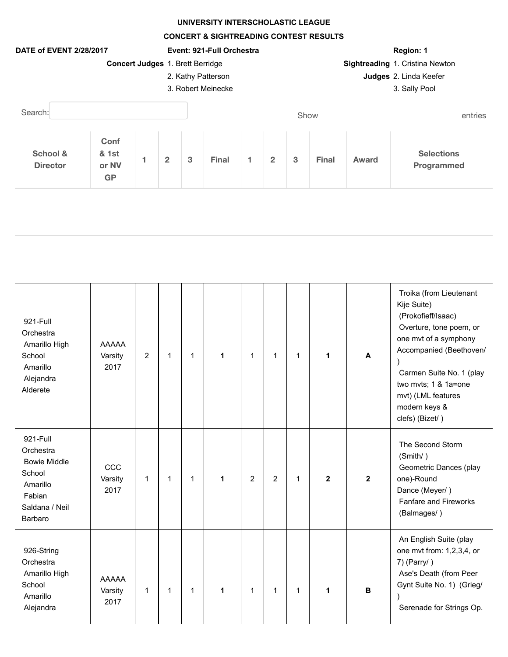## **UNIVERSITY INTERSCHOLASTIC LEAGUE**

**CONCERT & SIGHTREADING CONTEST RESULTS**



| 921-Full<br>Orchestra<br>Amarillo High<br>School<br>Amarillo<br>Alejandra<br>Alderete                     | <b>AAAAA</b><br>Varsity<br>2017 | $\overline{2}$ | 1            | 1            | 1 | 1 | 1              | 1            | 1            | A            | Troika (from Lieutenant<br>Kije Suite)<br>(Prokofieff/Isaac)<br>Overture, tone poem, or<br>one mvt of a symphony<br>Accompanied (Beethoven/<br>Carmen Suite No. 1 (play<br>two mvts; 1 & 1a=one<br>mvt) (LML features<br>modern keys &<br>clefs) (Bizet/) |
|-----------------------------------------------------------------------------------------------------------|---------------------------------|----------------|--------------|--------------|---|---|----------------|--------------|--------------|--------------|-----------------------------------------------------------------------------------------------------------------------------------------------------------------------------------------------------------------------------------------------------------|
| 921-Full<br>Orchestra<br><b>Bowie Middle</b><br>School<br>Amarillo<br>Fabian<br>Saldana / Neil<br>Barbaro | CCC<br>Varsity<br>2017          | $\mathbf{1}$   | $\mathbf{1}$ | $\mathbf{1}$ | 1 | 2 | $\overline{2}$ | $\mathbf{1}$ | $\mathbf{2}$ | $\mathbf{2}$ | The Second Storm<br>(Smith/)<br>Geometric Dances (play<br>one)-Round<br>Dance (Meyer/)<br><b>Fanfare and Fireworks</b><br>(Balmages/)                                                                                                                     |
| 926-String<br>Orchestra<br>Amarillo High<br>School<br>Amarillo<br>Alejandra                               | <b>AAAAA</b><br>Varsity<br>2017 | $\mathbf{1}$   | $\mathbf{1}$ | $\mathbf{1}$ | 1 | 1 | $\mathbf{1}$   | $\mathbf{1}$ | 1            | B            | An English Suite (play<br>one mvt from: 1,2,3,4, or<br>$7)$ (Parry/)<br>Ase's Death (from Peer<br>Gynt Suite No. 1) (Grieg/<br>Serenade for Strings Op.                                                                                                   |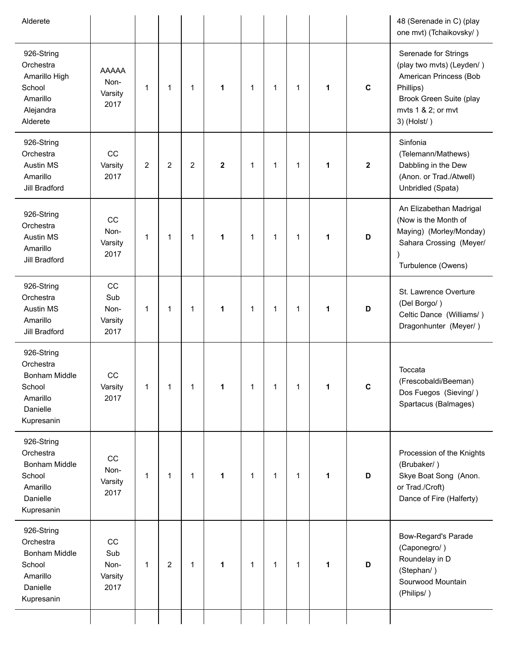| Alderete                                                                                        |                                         |   |                |                |             |              |              |   |   |             | 48 (Serenade in C) (play<br>one mvt) (Tchaikovsky/)                                                                                                        |
|-------------------------------------------------------------------------------------------------|-----------------------------------------|---|----------------|----------------|-------------|--------------|--------------|---|---|-------------|------------------------------------------------------------------------------------------------------------------------------------------------------------|
| 926-String<br>Orchestra<br>Amarillo High<br>School<br>Amarillo<br>Alejandra<br>Alderete         | <b>AAAAA</b><br>Non-<br>Varsity<br>2017 | 1 | 1              | 1              | 1           | 1            | 1            | 1 | 1 | $\mathbf c$ | Serenade for Strings<br>(play two mvts) (Leyden/)<br>American Princess (Bob<br>Phillips)<br>Brook Green Suite (play<br>mvts 1 & 2; or mvt<br>$3)$ (Holst/) |
| 926-String<br>Orchestra<br><b>Austin MS</b><br>Amarillo<br>Jill Bradford                        | CC<br>Varsity<br>2017                   | 2 | $\overline{2}$ | $\overline{2}$ | $\mathbf 2$ | $\mathbf{1}$ | 1            | 1 | 1 | $\mathbf 2$ | Sinfonia<br>(Telemann/Mathews)<br>Dabbling in the Dew<br>(Anon. or Trad./Atwell)<br>Unbridled (Spata)                                                      |
| 926-String<br>Orchestra<br><b>Austin MS</b><br>Amarillo<br>Jill Bradford                        | CC<br>Non-<br>Varsity<br>2017           | 1 | 1              | 1              | 1           | 1            | 1            | 1 | 1 | D           | An Elizabethan Madrigal<br>(Now is the Month of<br>Maying) (Morley/Monday)<br>Sahara Crossing (Meyer/<br>Turbulence (Owens)                                |
| 926-String<br>Orchestra<br><b>Austin MS</b><br>Amarillo<br>Jill Bradford                        | CC<br>Sub<br>Non-<br>Varsity<br>2017    | 1 | 1              | 1              | 1           | 1            | 1            | 1 | 1 | D           | St. Lawrence Overture<br>(Del Borgo/)<br>Celtic Dance (Williams/)<br>Dragonhunter (Meyer/)                                                                 |
| 926-String<br>Orchestra<br><b>Bonham Middle</b><br>School<br>Amarillo<br>Danielle<br>Kupresanin | CC<br>Varsity<br>2017                   | 1 | 1              | 1              | 1           | 1            | 1            | 1 |   | C           | Toccata<br>(Frescobaldi/Beeman)<br>Dos Fuegos (Sieving/)<br>Spartacus (Balmages)                                                                           |
| 926-String<br>Orchestra<br>Bonham Middle<br>School<br>Amarillo<br>Danielle<br>Kupresanin        | CC<br>Non-<br>Varsity<br>2017           | 1 | 1              | $\mathbf{1}$   | 1           | 1            | 1            | 1 | 1 | D           | Procession of the Knights<br>(Brubaker/)<br>Skye Boat Song (Anon.<br>or Trad./Croft)<br>Dance of Fire (Halferty)                                           |
| 926-String<br>Orchestra<br><b>Bonham Middle</b><br>School<br>Amarillo<br>Danielle<br>Kupresanin | CC<br>Sub<br>Non-<br>Varsity<br>2017    | 1 | $\overline{c}$ | $\mathbf{1}$   | 1           | 1            | $\mathbf{1}$ | 1 | 1 | D           | <b>Bow-Regard's Parade</b><br>(Caponegro/)<br>Roundelay in D<br>(Stephan/)<br>Sourwood Mountain<br>(Philips/)                                              |
|                                                                                                 |                                         |   |                |                |             |              |              |   |   |             |                                                                                                                                                            |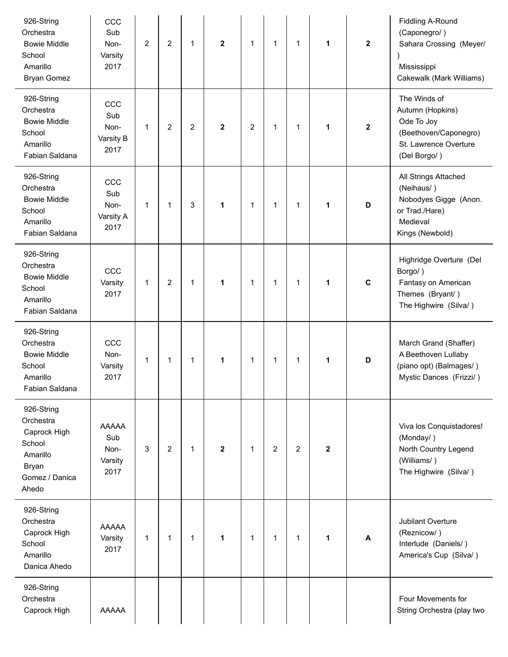| 926-String<br>Orchestra<br><b>Bowie Middle</b><br>School<br>Amarillo<br><b>Bryan Gomez</b>        | CCC<br>Sub<br>Non-<br>Varsity<br>2017          | 2            | $\overline{2}$ | 1              | $\mathbf 2$  | 1              | $\mathbf{1}$   | 1              | 1           | $\mathbf 2$             | <b>Fiddling A-Round</b><br>(Caponegro/)<br>Sahara Crossing (Meyer/<br>Mississippi<br>Cakewalk (Mark Williams)    |
|---------------------------------------------------------------------------------------------------|------------------------------------------------|--------------|----------------|----------------|--------------|----------------|----------------|----------------|-------------|-------------------------|------------------------------------------------------------------------------------------------------------------|
| 926-String<br>Orchestra<br><b>Bowie Middle</b><br>School<br>Amarillo<br>Fabian Saldana            | CCC<br>Sub<br>Non-<br>Varsity B<br>2017        | 1            | $\overline{2}$ | $\overline{2}$ | $\mathbf 2$  | $\overline{2}$ | $\mathbf{1}$   | 1              | 1           | $\overline{\mathbf{2}}$ | The Winds of<br>Autumn (Hopkins)<br>Ode To Joy<br>(Beethoven/Caponegro)<br>St. Lawrence Overture<br>(Del Borgo/) |
| 926-String<br>Orchestra<br><b>Bowie Middle</b><br>School<br>Amarillo<br>Fabian Saldana            | CCC<br>Sub<br>Non-<br>Varsity A<br>2017        | $\mathbf{1}$ | $\mathbf{1}$   | 3              | 1            | 1              | $\mathbf{1}$   | $\mathbf{1}$   | 1           | D                       | All Strings Attached<br>(Neihaus/)<br>Nobodyes Gigge (Anon.<br>or Trad./Hare)<br>Medieval<br>Kings (Newbold)     |
| 926-String<br>Orchestra<br><b>Bowie Middle</b><br>School<br>Amarillo<br>Fabian Saldana            | CCC<br>Varsity<br>2017                         | 1            | 2              | 1              | 1            | 1              | 1              | 1              | 1           | $\mathbf c$             | Highridge Overture (Del<br>Borgo/)<br>Fantasy on American<br>Themes (Bryant/)<br>The Highwire (Silva/)           |
| 926-String<br>Orchestra<br><b>Bowie Middle</b><br>School<br>Amarillo<br>Fabian Saldana            | CCC<br>Non-<br>Varsity<br>2017                 | 1            | 1              | 1              | 1            | 1              | $\mathbf{1}$   | 1              | 1           | D                       | March Grand (Shaffer)<br>A Beethoven Lullaby<br>(piano opt) (Balmages/)<br>Mystic Dances (Frizzi/)               |
| 926-String<br>Orchestra<br>Caprock High<br>School<br>Amarillo<br>Bryan<br>Gomez / Danica<br>Ahedo | <b>AAAAA</b><br>Sub<br>Non-<br>Varsity<br>2017 | 3            | $\overline{2}$ | $\mathbf{1}$   | $\mathbf{2}$ | 1              | $\overline{2}$ | $\overline{2}$ | $\mathbf 2$ |                         | Viva los Conquistadores!<br>(Monday/)<br>North Country Legend<br>(Williams/)<br>The Highwire (Silva/)            |
| 926-String<br>Orchestra<br>Caprock High<br>School<br>Amarillo<br>Danica Ahedo                     | <b>AAAAA</b><br>Varsity<br>2017                | 1            | 1              | 1              | 1            | 1              | $\mathbf{1}$   | $\mathbf{1}$   | 1           | A                       | Jubilant Overture<br>(Reznicow/)<br>Interlude (Daniels/)<br>America's Cup (Silva/)                               |
| 926-String<br>Orchestra<br>Caprock High                                                           | AAAAA                                          |              |                |                |              |                |                |                |             |                         | Four Movements for<br>String Orchestra (play two                                                                 |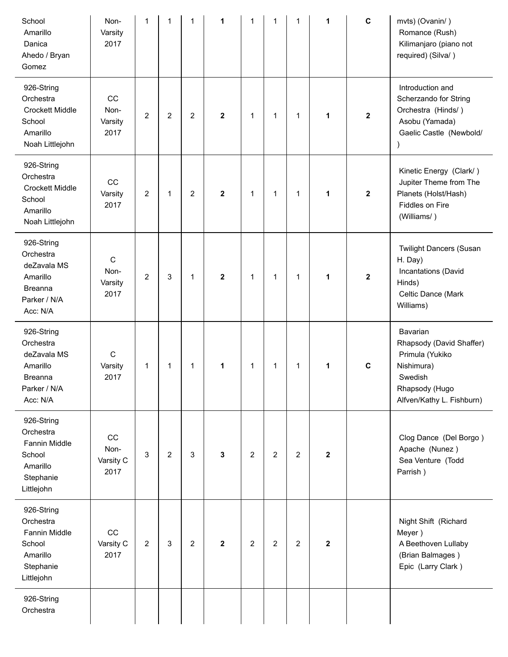| School<br>Amarillo<br>Danica<br>Ahedo / Bryan<br>Gomez                                           | Non-<br>Varsity<br>2017                 | 1                       | 1              | $\mathbf{1}$   | 1            | 1              | 1              | 1              | 1                       | $\mathbf c$  | mvts) (Ovanin/)<br>Romance (Rush)<br>Kilimanjaro (piano not<br>required) (Silva/)                                               |
|--------------------------------------------------------------------------------------------------|-----------------------------------------|-------------------------|----------------|----------------|--------------|----------------|----------------|----------------|-------------------------|--------------|---------------------------------------------------------------------------------------------------------------------------------|
| 926-String<br>Orchestra<br><b>Crockett Middle</b><br>School<br>Amarillo<br>Noah Littlejohn       | CC<br>Non-<br>Varsity<br>2017           | $\overline{2}$          | $\overline{2}$ | $\overline{2}$ | $\mathbf 2$  | 1              | $\mathbf{1}$   | $\mathbf{1}$   | 1                       | $\mathbf{2}$ | Introduction and<br>Scherzando for String<br>Orchestra (Hinds/)<br>Asobu (Yamada)<br>Gaelic Castle (Newbold/                    |
| 926-String<br>Orchestra<br><b>Crockett Middle</b><br>School<br>Amarillo<br>Noah Littlejohn       | CC<br>Varsity<br>2017                   | $\overline{\mathbf{c}}$ | 1              | 2              | $\mathbf{2}$ | 1              | 1              | 1              | 1                       | $\mathbf 2$  | Kinetic Energy (Clark/)<br>Jupiter Theme from The<br>Planets (Holst/Hash)<br>Fiddles on Fire<br>(Williams/)                     |
| 926-String<br>Orchestra<br>deZavala MS<br>Amarillo<br><b>Breanna</b><br>Parker / N/A<br>Acc: N/A | $\mathsf{C}$<br>Non-<br>Varsity<br>2017 | $\overline{2}$          | 3              | 1              | $\mathbf{2}$ | 1              | 1              | 1              | 1                       | $\mathbf 2$  | <b>Twilight Dancers (Susan</b><br>H. Day)<br>Incantations (David<br>Hinds)<br>Celtic Dance (Mark<br>Williams)                   |
| 926-String<br>Orchestra<br>deZavala MS<br>Amarillo<br><b>Breanna</b><br>Parker / N/A<br>Acc: N/A | C<br>Varsity<br>2017                    | 1                       | 1              | 1              | 1            | 1              | 1              | 1              | 1                       | $\mathbf C$  | Bavarian<br>Rhapsody (David Shaffer)<br>Primula (Yukiko<br>Nishimura)<br>Swedish<br>Rhapsody (Hugo<br>Alfven/Kathy L. Fishburn) |
| 926-String<br>Orchestra<br>Fannin Middle<br>School<br>Amarillo<br>Stephanie<br>Littlejohn        | CC<br>Non-<br>Varsity C<br>2017         | 3                       | $\overline{a}$ | 3              | $\mathbf{3}$ | $\overline{c}$ | $\overline{2}$ | $\overline{c}$ | $\overline{\mathbf{2}}$ |              | Clog Dance (Del Borgo)<br>Apache (Nunez)<br>Sea Venture (Todd<br>Parrish)                                                       |
| 926-String<br>Orchestra<br>Fannin Middle<br>School<br>Amarillo<br>Stephanie<br>Littlejohn        | CC<br>Varsity C<br>2017                 | $\overline{2}$          | 3              | $\overline{2}$ | $\mathbf{2}$ | $\overline{2}$ | $\overline{2}$ | $\overline{2}$ | $\overline{\mathbf{2}}$ |              | Night Shift (Richard<br>Meyer)<br>A Beethoven Lullaby<br>(Brian Balmages)<br>Epic (Larry Clark)                                 |
| 926-String<br>Orchestra                                                                          |                                         |                         |                |                |              |                |                |                |                         |              |                                                                                                                                 |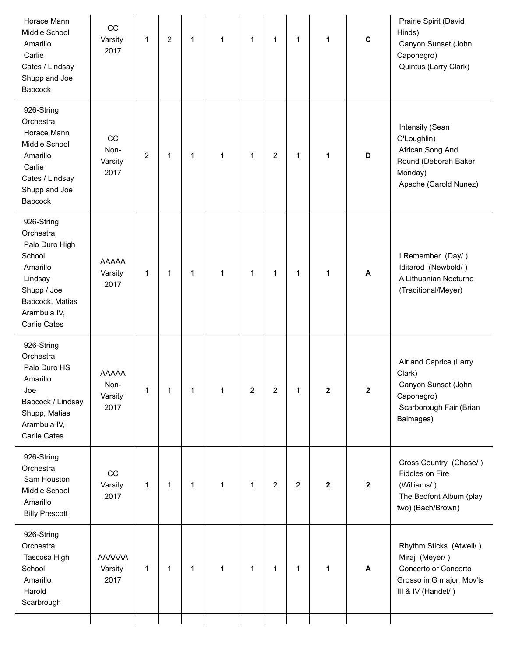| Horace Mann<br>Middle School<br>Amarillo<br>Carlie<br>Cates / Lindsay<br>Shupp and Joe<br>Babcock                                                   | CC<br>Varsity<br>2017            | 1              | $\overline{2}$ | $\mathbf{1}$ | 1 | 1 | $\mathbf{1}$   | $\mathbf{1}$   | 1            | $\mathbf c$    | Prairie Spirit (David<br>Hinds)<br>Canyon Sunset (John<br>Caponegro)<br>Quintus (Larry Clark)                        |
|-----------------------------------------------------------------------------------------------------------------------------------------------------|----------------------------------|----------------|----------------|--------------|---|---|----------------|----------------|--------------|----------------|----------------------------------------------------------------------------------------------------------------------|
| 926-String<br>Orchestra<br>Horace Mann<br>Middle School<br>Amarillo<br>Carlie<br>Cates / Lindsay<br>Shupp and Joe<br><b>Babcock</b>                 | CC<br>Non-<br>Varsity<br>2017    | $\overline{2}$ | 1              | $\mathbf{1}$ | 1 | 1 | $\overline{2}$ | $\mathbf{1}$   | 1            | D              | Intensity (Sean<br>O'Loughlin)<br>African Song And<br>Round (Deborah Baker<br>Monday)<br>Apache (Carold Nunez)       |
| 926-String<br>Orchestra<br>Palo Duro High<br>School<br>Amarillo<br>Lindsay<br>Shupp / Joe<br>Babcock, Matias<br>Arambula IV,<br><b>Carlie Cates</b> | <b>AAAAA</b><br>Varsity<br>2017  | $\mathbf{1}$   | 1              | $\mathbf{1}$ | 1 | 1 | $\mathbf{1}$   | 1              | 1            | A              | I Remember (Day/)<br>Iditarod (Newbold/)<br>A Lithuanian Nocturne<br>(Traditional/Meyer)                             |
| 926-String<br>Orchestra<br>Palo Duro HS<br>Amarillo<br>Joe<br>Babcock / Lindsay<br>Shupp, Matias<br>Arambula IV,<br><b>Carlie Cates</b>             | AAAAA<br>Non-<br>Varsity<br>2017 | 1              |                | 1            | 1 | 2 | 2              | 1              | 2            | 2              | Air and Caprice (Larry<br>Clark)<br>Canyon Sunset (John<br>Caponegro)<br>Scarborough Fair (Brian<br>Balmages)        |
| 926-String<br>Orchestra<br>Sam Houston<br>Middle School<br>Amarillo<br><b>Billy Prescott</b>                                                        | CC<br>Varsity<br>2017            | 1              | 1              | $\mathbf{1}$ | 1 | 1 | $\overline{2}$ | $\overline{c}$ | $\mathbf{2}$ | $\overline{2}$ | Cross Country (Chase/)<br>Fiddles on Fire<br>(Williams/)<br>The Bedfont Album (play<br>two) (Bach/Brown)             |
| 926-String<br>Orchestra<br>Tascosa High<br>School<br>Amarillo<br>Harold<br>Scarbrough                                                               | AAAAAA<br>Varsity<br>2017        | $\mathbf 1$    | 1              | $\mathbf{1}$ | 1 | 1 | $\mathbf{1}$   | 1              | 1            | A              | Rhythm Sticks (Atwell/)<br>Miraj (Meyer/)<br>Concerto or Concerto<br>Grosso in G major, Mov'ts<br>III & IV (Handel/) |
|                                                                                                                                                     |                                  |                |                |              |   |   |                |                |              |                |                                                                                                                      |

j.

L